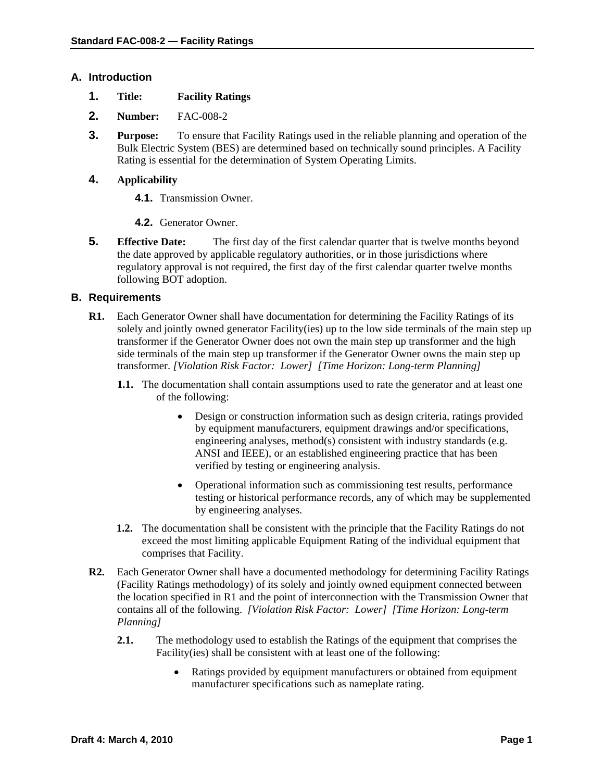### **A. Introduction**

- **1. Title: Facility Ratings**
- **2. Number:** FAC-008-2
- **3. Purpose:** To ensure that Facility Ratings used in the reliable planning and operation of the Bulk Electric System (BES) are determined based on technically sound principles. A Facility Rating is essential for the determination of System Operating Limits.

## **4. Applicability**

- **4.1.** Transmission Owner.
- **4.2.** Generator Owner.
- **5. Effective Date:** The first day of the first calendar quarter that is twelve months beyond the date approved by applicable regulatory authorities, or in those jurisdictions where regulatory approval is not required, the first day of the first calendar quarter twelve months following BOT adoption.

## **B. Requirements**

- **R1.** Each Generator Owner shall have documentation for determining the Facility Ratings of its solely and jointly owned generator Facility(ies) up to the low side terminals of the main step up transformer if the Generator Owner does not own the main step up transformer and the high side terminals of the main step up transformer if the Generator Owner owns the main step up transformer. *[Violation Risk Factor: Lower] [Time Horizon: Long-term Planning]* 
	- **1.1.** The documentation shall contain assumptions used to rate the generator and at least one of the following:
		- Design or construction information such as design criteria, ratings provided by equipment manufacturers, equipment drawings and/or specifications, engineering analyses, method(s) consistent with industry standards (e.g. ANSI and IEEE), or an established engineering practice that has been verified by testing or engineering analysis.
		- Operational information such as commissioning test results, performance testing or historical performance records, any of which may be supplemented by engineering analyses.
	- **1.2.** The documentation shall be consistent with the principle that the Facility Ratings do not exceed the most limiting applicable Equipment Rating of the individual equipment that comprises that Facility.
- **R2.** Each Generator Owner shall have a documented methodology for determining Facility Ratings (Facility Ratings methodology) of its solely and jointly owned equipment connected between the location specified in R1 and the point of interconnection with the Transmission Owner that contains all of the following. *[Violation Risk Factor: Lower] [Time Horizon: Long-term Planning]* 
	- **2.1.** The methodology used to establish the Ratings of the equipment that comprises the Facility(ies) shall be consistent with at least one of the following:
		- Ratings provided by equipment manufacturers or obtained from equipment manufacturer specifications such as nameplate rating.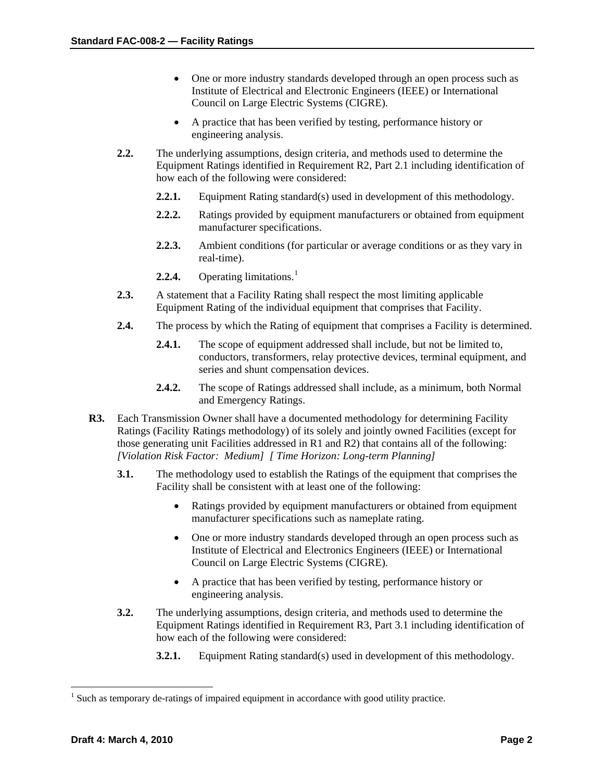- One or more industry standards developed through an open process such as Institute of Electrical and Electronic Engineers (IEEE) or International Council on Large Electric Systems (CIGRE).
- A practice that has been verified by testing, performance history or engineering analysis.
- **2.2.** The underlying assumptions, design criteria, and methods used to determine the Equipment Ratings identified in Requirement R2, Part 2.1 including identification of how each of the following were considered:
	- **2.2.1.** Equipment Rating standard(s) used in development of this methodology.
	- **2.2.2.** Ratings provided by equipment manufacturers or obtained from equipment manufacturer specifications.
	- **2.2.3.** Ambient conditions (for particular or average conditions or as they vary in real-time).
	- **2.2.4.** Operating limitations.<sup>[1](#page-1-0)</sup>
- **2.3.** A statement that a Facility Rating shall respect the most limiting applicable Equipment Rating of the individual equipment that comprises that Facility.
- **2.4.** The process by which the Rating of equipment that comprises a Facility is determined.
	- **2.4.1.** The scope of equipment addressed shall include, but not be limited to, conductors, transformers, relay protective devices, terminal equipment, and series and shunt compensation devices.
	- **2.4.2.** The scope of Ratings addressed shall include, as a minimum, both Normal and Emergency Ratings.
- **R3.** Each Transmission Owner shall have a documented methodology for determining Facility Ratings (Facility Ratings methodology) of its solely and jointly owned Facilities (except for those generating unit Facilities addressed in R1 and R2) that contains all of the following: *[Violation Risk Factor: Medium] [ Time Horizon: Long-term Planning]* 
	- **3.1.** The methodology used to establish the Ratings of the equipment that comprises the Facility shall be consistent with at least one of the following:
		- Ratings provided by equipment manufacturers or obtained from equipment manufacturer specifications such as nameplate rating.
		- One or more industry standards developed through an open process such as Institute of Electrical and Electronics Engineers (IEEE) or International Council on Large Electric Systems (CIGRE).
		- A practice that has been verified by testing, performance history or engineering analysis.
	- **3.2.** The underlying assumptions, design criteria, and methods used to determine the Equipment Ratings identified in Requirement R3, Part 3.1 including identification of how each of the following were considered:
		- **3.2.1.** Equipment Rating standard(s) used in development of this methodology.

 $\overline{a}$ 

<span id="page-1-0"></span> $<sup>1</sup>$  Such as temporary de-ratings of impaired equipment in accordance with good utility practice.</sup>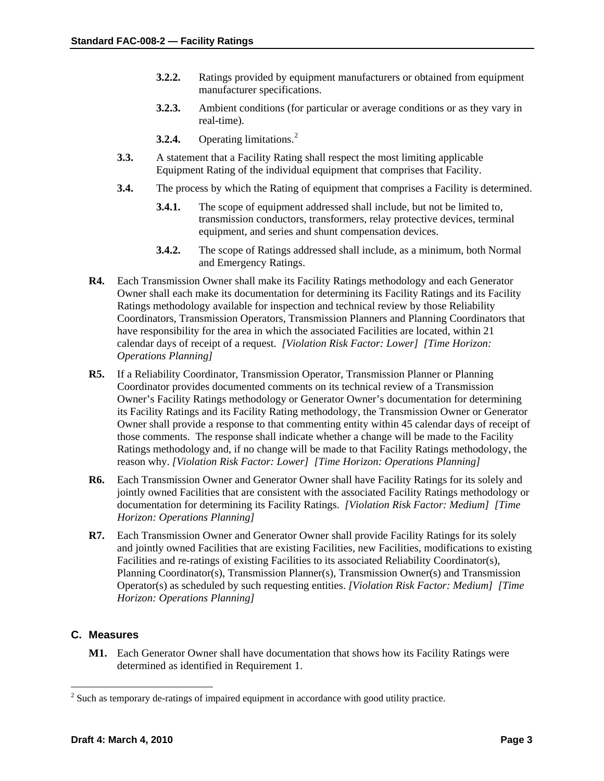- **3.2.2.** Ratings provided by equipment manufacturers or obtained from equipment manufacturer specifications.
- **3.2.3.** Ambient conditions (for particular or average conditions or as they vary in real-time).
- **3.[2](#page-2-0).4.** Operating limitations.<sup>2</sup>
- **3.3.** A statement that a Facility Rating shall respect the most limiting applicable Equipment Rating of the individual equipment that comprises that Facility.
- **3.4.** The process by which the Rating of equipment that comprises a Facility is determined.
	- **3.4.1.** The scope of equipment addressed shall include, but not be limited to, transmission conductors, transformers, relay protective devices, terminal equipment, and series and shunt compensation devices.
	- **3.4.2.** The scope of Ratings addressed shall include, as a minimum, both Normal and Emergency Ratings.
- **R4.** Each Transmission Owner shall make its Facility Ratings methodology and each Generator Owner shall each make its documentation for determining its Facility Ratings and its Facility Ratings methodology available for inspection and technical review by those Reliability Coordinators, Transmission Operators, Transmission Planners and Planning Coordinators that have responsibility for the area in which the associated Facilities are located, within 21 calendar days of receipt of a request. *[Violation Risk Factor: Lower] [Time Horizon: Operations Planning]*
- **R5.** If a Reliability Coordinator, Transmission Operator, Transmission Planner or Planning Coordinator provides documented comments on its technical review of a Transmission Owner's Facility Ratings methodology or Generator Owner's documentation for determining its Facility Ratings and its Facility Rating methodology, the Transmission Owner or Generator Owner shall provide a response to that commenting entity within 45 calendar days of receipt of those comments. The response shall indicate whether a change will be made to the Facility Ratings methodology and, if no change will be made to that Facility Ratings methodology, the reason why. *[Violation Risk Factor: Lower] [Time Horizon: Operations Planning]*
- **R6.** Each Transmission Owner and Generator Owner shall have Facility Ratings for its solely and jointly owned Facilities that are consistent with the associated Facility Ratings methodology or documentation for determining its Facility Ratings. *[Violation Risk Factor: Medium] [Time Horizon: Operations Planning]*
- **R7.** Each Transmission Owner and Generator Owner shall provide Facility Ratings for its solely and jointly owned Facilities that are existing Facilities, new Facilities, modifications to existing Facilities and re-ratings of existing Facilities to its associated Reliability Coordinator(s), Planning Coordinator(s), Transmission Planner(s), Transmission Owner(s) and Transmission Operator(s) as scheduled by such requesting entities. *[Violation Risk Factor: Medium] [Time Horizon: Operations Planning]*

## **C. Measures**

 $\overline{a}$ 

**M1.** Each Generator Owner shall have documentation that shows how its Facility Ratings were determined as identified in Requirement 1.

<span id="page-2-0"></span> $2^{2}$  Such as temporary de-ratings of impaired equipment in accordance with good utility practice.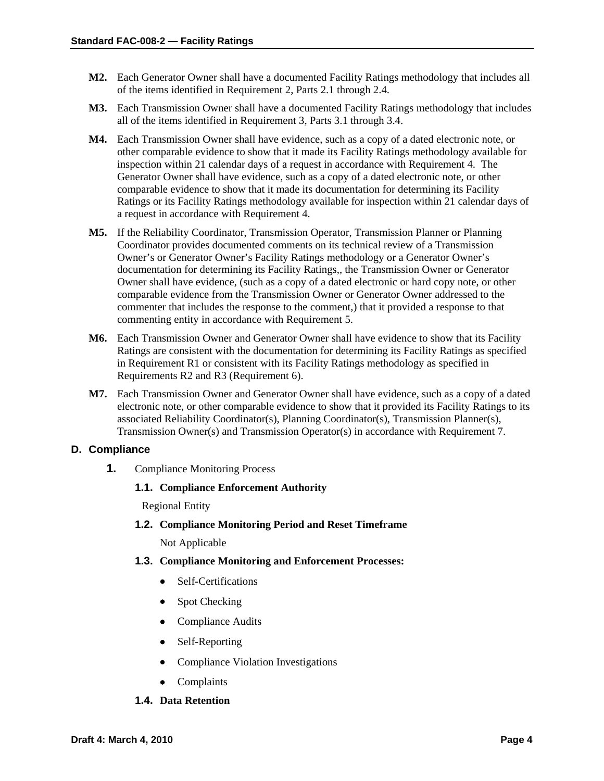- **M2.** Each Generator Owner shall have a documented Facility Ratings methodology that includes all of the items identified in Requirement 2, Parts 2.1 through 2.4.
- **M3.** Each Transmission Owner shall have a documented Facility Ratings methodology that includes all of the items identified in Requirement 3, Parts 3.1 through 3.4.
- **M4.** Each Transmission Owner shall have evidence, such as a copy of a dated electronic note, or other comparable evidence to show that it made its Facility Ratings methodology available for inspection within 21 calendar days of a request in accordance with Requirement 4. The Generator Owner shall have evidence, such as a copy of a dated electronic note, or other comparable evidence to show that it made its documentation for determining its Facility Ratings or its Facility Ratings methodology available for inspection within 21 calendar days of a request in accordance with Requirement 4.
- **M5.** If the Reliability Coordinator, Transmission Operator, Transmission Planner or Planning Coordinator provides documented comments on its technical review of a Transmission Owner's or Generator Owner's Facility Ratings methodology or a Generator Owner's documentation for determining its Facility Ratings,, the Transmission Owner or Generator Owner shall have evidence, (such as a copy of a dated electronic or hard copy note, or other comparable evidence from the Transmission Owner or Generator Owner addressed to the commenter that includes the response to the comment,) that it provided a response to that commenting entity in accordance with Requirement 5.
- **M6.** Each Transmission Owner and Generator Owner shall have evidence to show that its Facility Ratings are consistent with the documentation for determining its Facility Ratings as specified in Requirement R1 or consistent with its Facility Ratings methodology as specified in Requirements R2 and R3 (Requirement 6).
- **M7.** Each Transmission Owner and Generator Owner shall have evidence, such as a copy of a dated electronic note, or other comparable evidence to show that it provided its Facility Ratings to its associated Reliability Coordinator(s), Planning Coordinator(s), Transmission Planner(s), Transmission Owner(s) and Transmission Operator(s) in accordance with Requirement 7.

#### **D. Compliance**

**1.** Compliance Monitoring Process

#### **1.1. Compliance Enforcement Authority**

Regional Entity

**1.2. Compliance Monitoring Period and Reset Timeframe**

Not Applicable

- **1.3. Compliance Monitoring and Enforcement Processes:** 
	- Self-Certifications
	- Spot Checking
	- Compliance Audits
	- Self-Reporting
	- Compliance Violation Investigations
	- Complaints

## **1.4. Data Retention**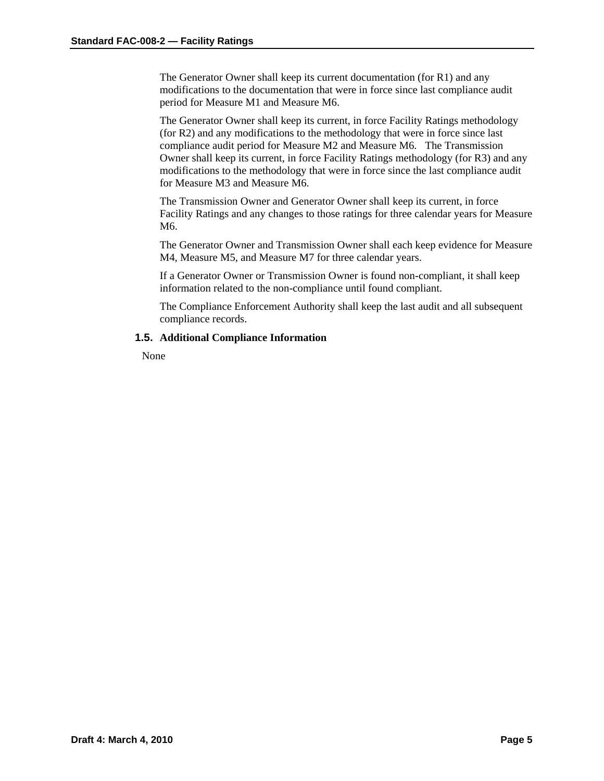The Generator Owner shall keep its current documentation (for R1) and any modifications to the documentation that were in force since last compliance audit period for Measure M1 and Measure M6.

The Generator Owner shall keep its current, in force Facility Ratings methodology (for R2) and any modifications to the methodology that were in force since last compliance audit period for Measure M2 and Measure M6. The Transmission Owner shall keep its current, in force Facility Ratings methodology (for R3) and any modifications to the methodology that were in force since the last compliance audit for Measure M3 and Measure M6.

The Transmission Owner and Generator Owner shall keep its current, in force Facility Ratings and any changes to those ratings for three calendar years for Measure M6.

The Generator Owner and Transmission Owner shall each keep evidence for Measure M4, Measure M5, and Measure M7 for three calendar years.

If a Generator Owner or Transmission Owner is found non-compliant, it shall keep information related to the non-compliance until found compliant.

The Compliance Enforcement Authority shall keep the last audit and all subsequent compliance records.

#### **1.5. Additional Compliance Information**

None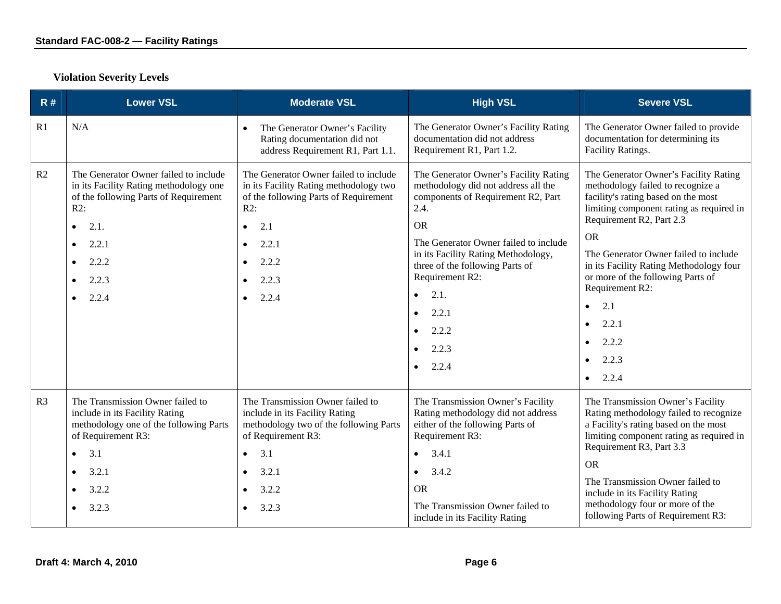| R#             | <b>Lower VSL</b>                                                                                                                                                                                                                             | <b>Moderate VSL</b>                                                                                                                                                                                                                            | <b>High VSL</b>                                                                                                                                                                                                                                                                                                                                                                         | <b>Severe VSL</b>                                                                                                                                                                                                                                                                                                                                                                                                                                           |
|----------------|----------------------------------------------------------------------------------------------------------------------------------------------------------------------------------------------------------------------------------------------|------------------------------------------------------------------------------------------------------------------------------------------------------------------------------------------------------------------------------------------------|-----------------------------------------------------------------------------------------------------------------------------------------------------------------------------------------------------------------------------------------------------------------------------------------------------------------------------------------------------------------------------------------|-------------------------------------------------------------------------------------------------------------------------------------------------------------------------------------------------------------------------------------------------------------------------------------------------------------------------------------------------------------------------------------------------------------------------------------------------------------|
| R1             | N/A                                                                                                                                                                                                                                          | The Generator Owner's Facility<br>$\bullet$<br>Rating documentation did not<br>address Requirement R1, Part 1.1.                                                                                                                               | The Generator Owner's Facility Rating<br>documentation did not address<br>Requirement R1, Part 1.2.                                                                                                                                                                                                                                                                                     | The Generator Owner failed to provide<br>documentation for determining its<br>Facility Ratings.                                                                                                                                                                                                                                                                                                                                                             |
| R2             | The Generator Owner failed to include<br>in its Facility Rating methodology one<br>of the following Parts of Requirement<br>R2:<br>2.1.<br>$\bullet$<br>2.2.1<br>$\bullet$<br>2.2.2<br>$\bullet$<br>2.2.3<br>$\bullet$<br>2.2.4<br>$\bullet$ | The Generator Owner failed to include<br>in its Facility Rating methodology two<br>of the following Parts of Requirement<br>$R2$ :<br>2.1<br>$\bullet$<br>2.2.1<br>$\bullet$<br>2.2.2<br>$\bullet$<br>2.2.3<br>$\bullet$<br>2.2.4<br>$\bullet$ | The Generator Owner's Facility Rating<br>methodology did not address all the<br>components of Requirement R2, Part<br>2.4.<br><b>OR</b><br>The Generator Owner failed to include<br>in its Facility Rating Methodology,<br>three of the following Parts of<br>Requirement R2:<br>2.1.<br>$\bullet$<br>2.2.1<br>$\bullet$<br>2.2.2<br>$\bullet$<br>2.2.3<br>$\bullet$<br>$\bullet$ 2.2.4 | The Generator Owner's Facility Rating<br>methodology failed to recognize a<br>facility's rating based on the most<br>limiting component rating as required in<br>Requirement R2, Part 2.3<br><b>OR</b><br>The Generator Owner failed to include<br>in its Facility Rating Methodology four<br>or more of the following Parts of<br>Requirement R2:<br>2.1<br>$\bullet$<br>2.2.1<br>$\bullet$<br>2.2.2<br>$\bullet$<br>2.2.3<br>$\bullet$<br>$\bullet$ 2.2.4 |
| R <sub>3</sub> | The Transmission Owner failed to<br>include in its Facility Rating<br>methodology one of the following Parts<br>of Requirement R3:<br>3.1<br>$\bullet$<br>3.2.1<br>$\bullet$<br>3.2.2<br>$\bullet$<br>3.2.3<br>$\bullet$                     | The Transmission Owner failed to<br>include in its Facility Rating<br>methodology two of the following Parts<br>of Requirement R3:<br>3.1<br>$\bullet$<br>3.2.1<br>$\bullet$<br>3.2.2<br>$\bullet$<br>3.2.3<br>$\bullet$                       | The Transmission Owner's Facility<br>Rating methodology did not address<br>either of the following Parts of<br>Requirement R3:<br>3.4.1<br>$\bullet$<br>3.4.2<br>$\bullet$<br><b>OR</b><br>The Transmission Owner failed to<br>include in its Facility Rating                                                                                                                           | The Transmission Owner's Facility<br>Rating methodology failed to recognize<br>a Facility's rating based on the most<br>limiting component rating as required in<br>Requirement R3, Part 3.3<br><b>OR</b><br>The Transmission Owner failed to<br>include in its Facility Rating<br>methodology four or more of the<br>following Parts of Requirement R3:                                                                                                    |

# **Violation Severity Levels**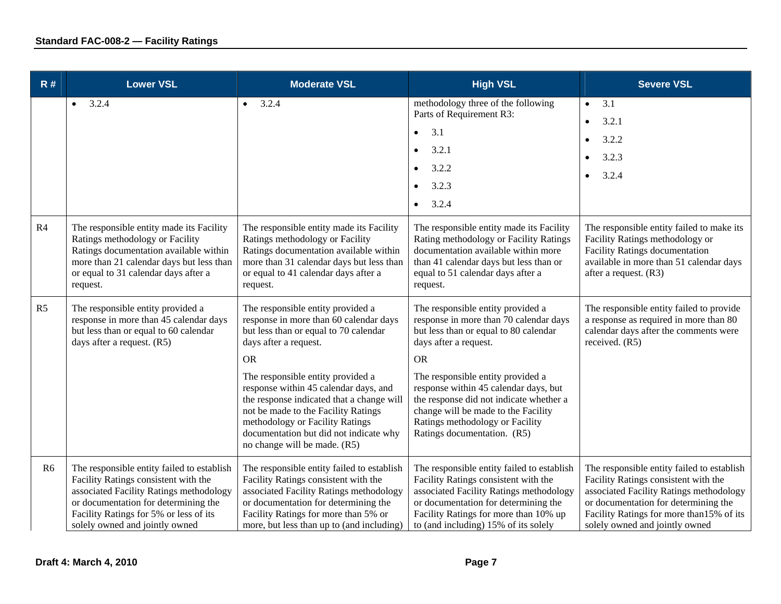| R#             | <b>Lower VSL</b>                                                                                                                                                                                                                                  | <b>Moderate VSL</b>                                                                                                                                                                                                                                                                                                                                                                                                                       | <b>High VSL</b>                                                                                                                                                                                                                                                                                                                                                                              | <b>Severe VSL</b>                                                                                                                                                                                                                                    |
|----------------|---------------------------------------------------------------------------------------------------------------------------------------------------------------------------------------------------------------------------------------------------|-------------------------------------------------------------------------------------------------------------------------------------------------------------------------------------------------------------------------------------------------------------------------------------------------------------------------------------------------------------------------------------------------------------------------------------------|----------------------------------------------------------------------------------------------------------------------------------------------------------------------------------------------------------------------------------------------------------------------------------------------------------------------------------------------------------------------------------------------|------------------------------------------------------------------------------------------------------------------------------------------------------------------------------------------------------------------------------------------------------|
|                | 3.2.4<br>$\bullet$                                                                                                                                                                                                                                | 3.2.4<br>$\bullet$                                                                                                                                                                                                                                                                                                                                                                                                                        | methodology three of the following<br>Parts of Requirement R3:<br>3.1<br>$\bullet$<br>3.2.1<br>3.2.2<br>3.2.3<br>$\bullet$<br>3.2.4<br>$\bullet$                                                                                                                                                                                                                                             | 3.1<br>$\bullet$<br>3.2.1<br>3.2.2<br>3.2.3<br>3.2.4<br>$\bullet$                                                                                                                                                                                    |
| R4             | The responsible entity made its Facility<br>Ratings methodology or Facility<br>Ratings documentation available within<br>more than 21 calendar days but less than<br>or equal to 31 calendar days after a<br>request.                             | The responsible entity made its Facility<br>Ratings methodology or Facility<br>Ratings documentation available within<br>more than 31 calendar days but less than<br>or equal to 41 calendar days after a<br>request.                                                                                                                                                                                                                     | The responsible entity made its Facility<br>Rating methodology or Facility Ratings<br>documentation available within more<br>than 41 calendar days but less than or<br>equal to 51 calendar days after a<br>request.                                                                                                                                                                         | The responsible entity failed to make its<br>Facility Ratings methodology or<br>Facility Ratings documentation<br>available in more than 51 calendar days<br>after a request. (R3)                                                                   |
| R <sub>5</sub> | The responsible entity provided a<br>response in more than 45 calendar days<br>but less than or equal to 60 calendar<br>days after a request. (R5)                                                                                                | The responsible entity provided a<br>response in more than 60 calendar days<br>but less than or equal to 70 calendar<br>days after a request.<br><b>OR</b><br>The responsible entity provided a<br>response within 45 calendar days, and<br>the response indicated that a change will<br>not be made to the Facility Ratings<br>methodology or Facility Ratings<br>documentation but did not indicate why<br>no change will be made. (R5) | The responsible entity provided a<br>response in more than 70 calendar days<br>but less than or equal to 80 calendar<br>days after a request.<br><b>OR</b><br>The responsible entity provided a<br>response within 45 calendar days, but<br>the response did not indicate whether a<br>change will be made to the Facility<br>Ratings methodology or Facility<br>Ratings documentation. (R5) | The responsible entity failed to provide<br>a response as required in more than 80<br>calendar days after the comments were<br>received. (R5)                                                                                                        |
| R <sub>6</sub> | The responsible entity failed to establish<br>Facility Ratings consistent with the<br>associated Facility Ratings methodology<br>or documentation for determining the<br>Facility Ratings for 5% or less of its<br>solely owned and jointly owned | The responsible entity failed to establish<br>Facility Ratings consistent with the<br>associated Facility Ratings methodology<br>or documentation for determining the<br>Facility Ratings for more than 5% or<br>more, but less than up to (and including)                                                                                                                                                                                | The responsible entity failed to establish<br>Facility Ratings consistent with the<br>associated Facility Ratings methodology<br>or documentation for determining the<br>Facility Ratings for more than 10% up<br>to (and including) 15% of its solely                                                                                                                                       | The responsible entity failed to establish<br>Facility Ratings consistent with the<br>associated Facility Ratings methodology<br>or documentation for determining the<br>Facility Ratings for more than 15% of its<br>solely owned and jointly owned |